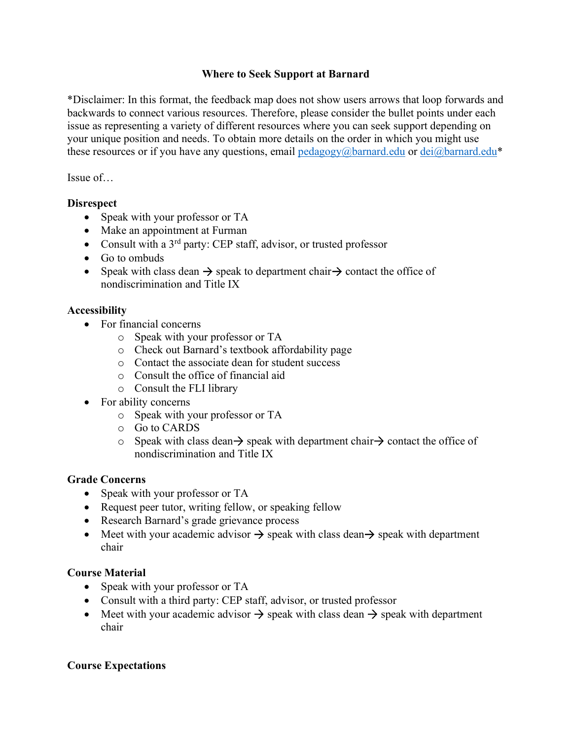# **Where to Seek Support at Barnard**

\*Disclaimer: In this format, the feedback map does not show users arrows that loop forwards and backwards to connect various resources. Therefore, please consider the bullet points under each issue as representing a variety of different resources where you can seek support depending on your unique position and needs. To obtain more details on the order in which you might use these resources or if you have any questions, email [pedagogy@barnard.edu](mailto:pedagogy@barnard.edu) or [dei@barnard.edu\\*](mailto:dei@barnard.edu)

Issue of…

## **Disrespect**

- Speak with your professor or TA
- Make an appointment at Furman
- Consult with a  $3<sup>rd</sup>$  party: CEP staff, advisor, or trusted professor
- Go to ombuds
- Speak with class dean  $\rightarrow$  speak to department chair  $\rightarrow$  contact the office of nondiscrimination and Title IX

## **Accessibility**

- For financial concerns
	- o Speak with your professor or TA
	- o Check out Barnard's textbook affordability page
	- o Contact the associate dean for student success
	- o Consult the office of financial aid
	- o Consult the FLI library
- For ability concerns
	- o Speak with your professor or TA
	- o Go to CARDS
	- $\circ$  Speak with class dean  $\rightarrow$  speak with department chair  $\rightarrow$  contact the office of nondiscrimination and Title IX

#### **Grade Concerns**

- Speak with your professor or TA
- Request peer tutor, writing fellow, or speaking fellow
- Research Barnard's grade grievance process
- Meet with your academic advisor  $\rightarrow$  speak with class dean  $\rightarrow$  speak with department chair

#### **Course Material**

- Speak with your professor or TA
- Consult with a third party: CEP staff, advisor, or trusted professor
- Meet with your academic advisor  $\rightarrow$  speak with class dean  $\rightarrow$  speak with department chair

# **Course Expectations**